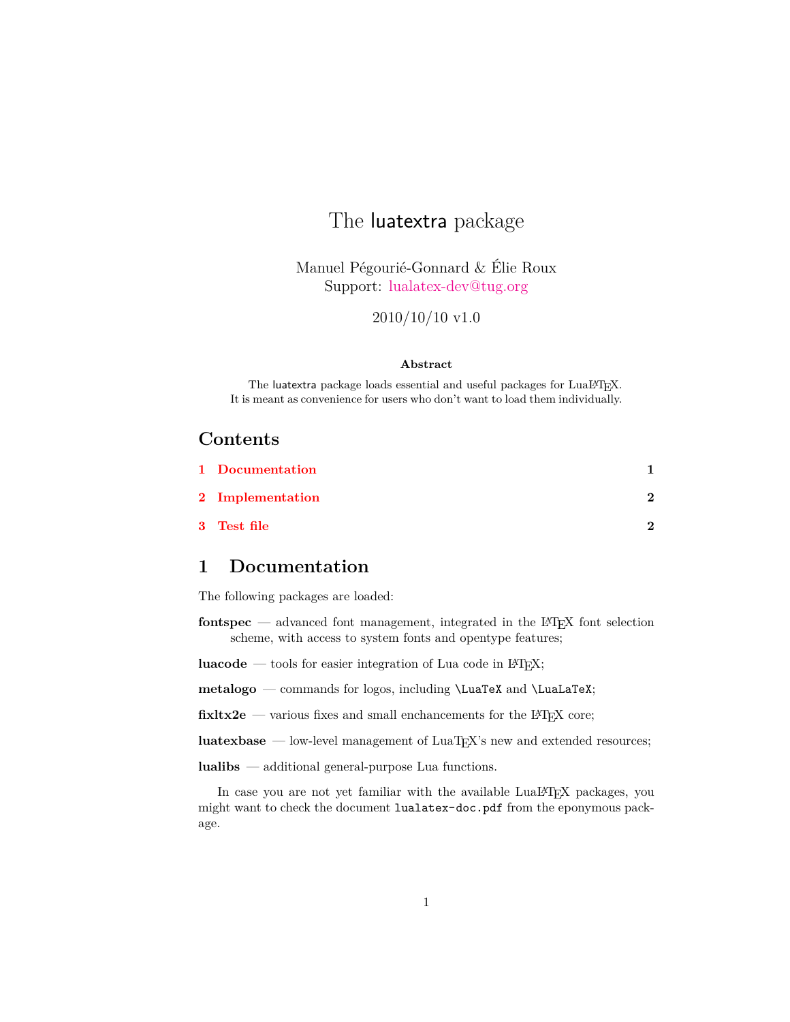# The luatextra package

Manuel Pégourié-Gonnard & Élie Roux Support: [lualatex-dev@tug.org](mailto:lualatex-dev@tug.org)

2010/10/10 v1.0

#### **Abstract**

The luatextra package loads essential and useful packages for LuaL<sup>AT</sup>FX. It is meant as convenience for users who don't want to load them individually.

#### **Contents**

| 1 Documentation  |   |
|------------------|---|
| 2 Implementation | າ |
| 3 Test file      | ົ |

#### <span id="page-0-0"></span>**1 Documentation**

The following packages are loaded:

**fontspec** — advanced font management, integrated in the LAT<sub>EX</sub> font selection scheme, with access to system fonts and opentype features;

**luacode** — tools for easier integration of Lua code in L<sup>AT</sup>EX;

**metalogo** — commands for logos, including \LuaTeX and \LuaLaTeX;

fixltx2e — various fixes and small enchancements for the L<sup>AT</sup>EX core;

**luatexbase** — low-level management of LuaT<sub>E</sub>X's new and extended resources;

**lualibs** — additional general-purpose Lua functions.

In case you are not yet familiar with the available LuaL<sup>AT</sup>FX packages, you might want to check the document lualatex-doc.pdf from the eponymous package.